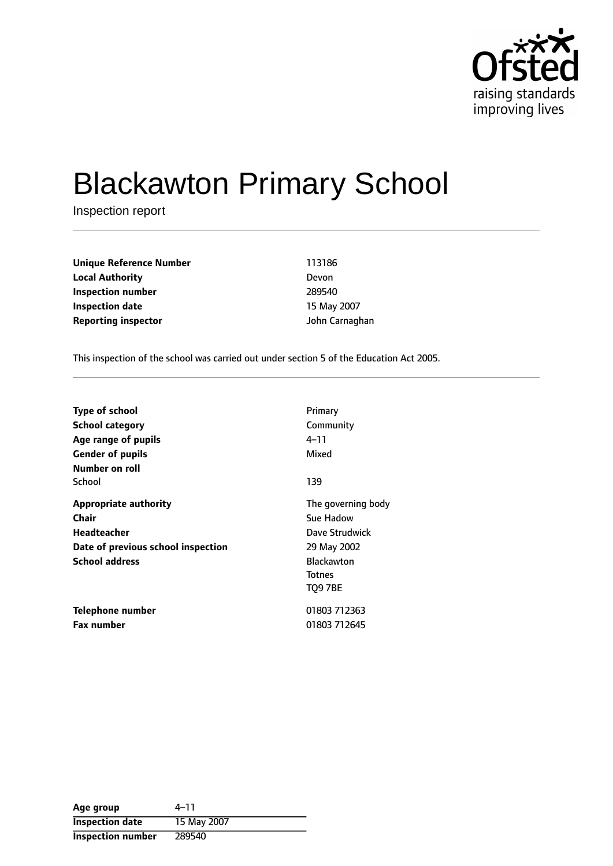

# Blackawton Primary School

Inspection report

**Unique Reference Number** 113186 **Local Authority** Devon **Inspection number** 289540 **Inspection date** 15 May 2007 **Reporting inspector** John Carnaghan

This inspection of the school was carried out under section 5 of the Education Act 2005.

| <b>Type of school</b><br>School category<br>Age range of pupils<br><b>Gender of pupils</b><br>Number on roll                      | Primary<br>Community<br>4–11<br>Mixed                                                                                    |
|-----------------------------------------------------------------------------------------------------------------------------------|--------------------------------------------------------------------------------------------------------------------------|
| School                                                                                                                            | 139                                                                                                                      |
| <b>Appropriate authority</b><br><b>Chair</b><br><b>Headteacher</b><br>Date of previous school inspection<br><b>School address</b> | The governing body<br>Sue Hadow<br>Dave Strudwick<br>29 May 2002<br><b>Blackawton</b><br><b>Totnes</b><br><b>TO9 7BE</b> |
| Telephone number<br><b>Fax number</b>                                                                                             | 01803 712363<br>01803 712645                                                                                             |

| Age group              | $4 - 11$    |
|------------------------|-------------|
| <b>Inspection date</b> | 15 May 2007 |
| Inspection number      | 289540      |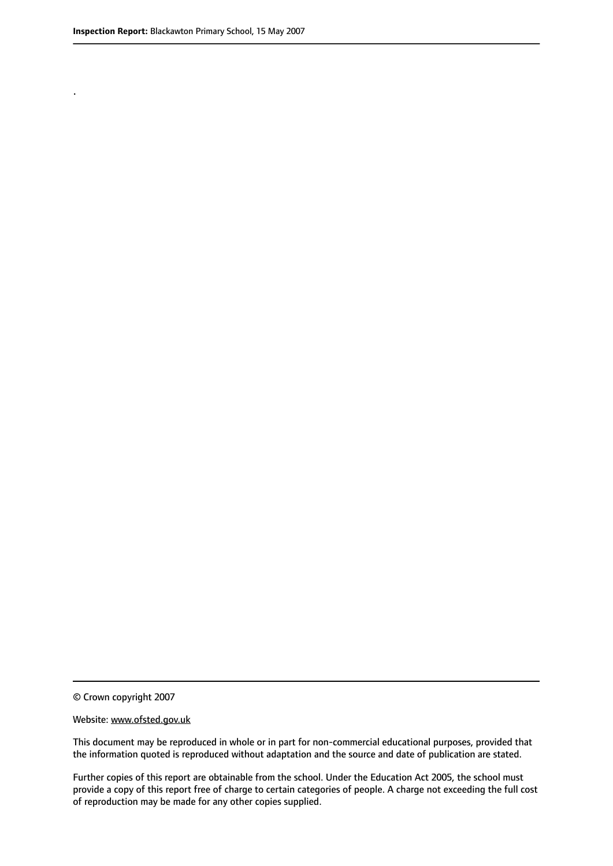.

© Crown copyright 2007

#### Website: www.ofsted.gov.uk

This document may be reproduced in whole or in part for non-commercial educational purposes, provided that the information quoted is reproduced without adaptation and the source and date of publication are stated.

Further copies of this report are obtainable from the school. Under the Education Act 2005, the school must provide a copy of this report free of charge to certain categories of people. A charge not exceeding the full cost of reproduction may be made for any other copies supplied.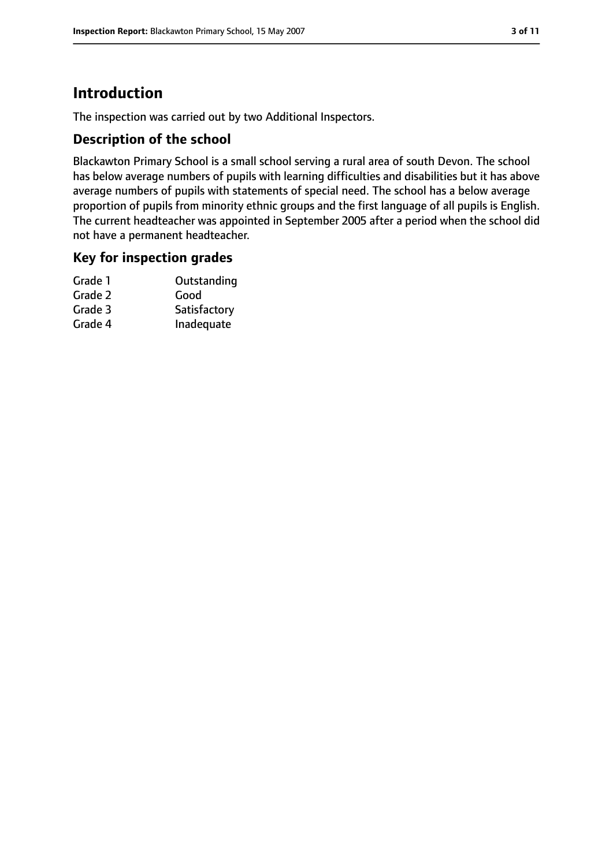# **Introduction**

The inspection was carried out by two Additional Inspectors.

#### **Description of the school**

Blackawton Primary School is a small school serving a rural area of south Devon. The school has below average numbers of pupils with learning difficulties and disabilities but it has above average numbers of pupils with statements of special need. The school has a below average proportion of pupils from minority ethnic groups and the first language of all pupils is English. The current headteacher was appointed in September 2005 after a period when the school did not have a permanent headteacher.

#### **Key for inspection grades**

| Grade 1 | Outstanding  |
|---------|--------------|
| Grade 2 | Good         |
| Grade 3 | Satisfactory |
| Grade 4 | Inadequate   |
|         |              |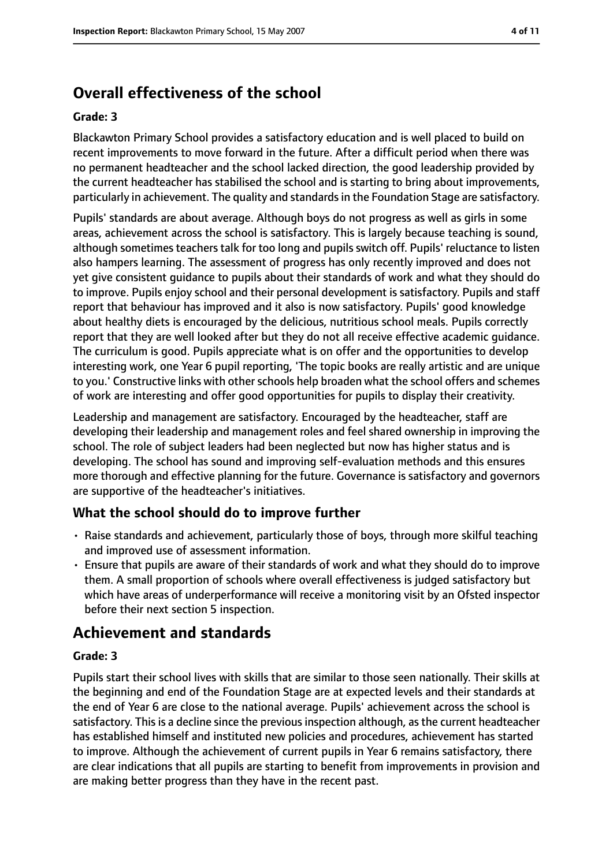# **Overall effectiveness of the school**

#### **Grade: 3**

Blackawton Primary School provides a satisfactory education and is well placed to build on recent improvements to move forward in the future. After a difficult period when there was no permanent headteacher and the school lacked direction, the good leadership provided by the current headteacher has stabilised the school and is starting to bring about improvements, particularly in achievement. The quality and standards in the Foundation Stage are satisfactory.

Pupils' standards are about average. Although boys do not progress as well as girls in some areas, achievement across the school is satisfactory. This is largely because teaching is sound, although sometimes teachers talk for too long and pupils switch off. Pupils' reluctance to listen also hampers learning. The assessment of progress has only recently improved and does not yet give consistent guidance to pupils about their standards of work and what they should do to improve. Pupils enjoy school and their personal development is satisfactory. Pupils and staff report that behaviour has improved and it also is now satisfactory. Pupils' good knowledge about healthy diets is encouraged by the delicious, nutritious school meals. Pupils correctly report that they are well looked after but they do not all receive effective academic guidance. The curriculum is good. Pupils appreciate what is on offer and the opportunities to develop interesting work, one Year 6 pupil reporting, 'The topic books are really artistic and are unique to you.' Constructive links with other schools help broaden what the school offers and schemes of work are interesting and offer good opportunities for pupils to display their creativity.

Leadership and management are satisfactory. Encouraged by the headteacher, staff are developing their leadership and management roles and feel shared ownership in improving the school. The role of subject leaders had been neglected but now has higher status and is developing. The school has sound and improving self-evaluation methods and this ensures more thorough and effective planning for the future. Governance is satisfactory and governors are supportive of the headteacher's initiatives.

## **What the school should do to improve further**

- Raise standards and achievement, particularly those of boys, through more skilful teaching and improved use of assessment information.
- Ensure that pupils are aware of their standards of work and what they should do to improve them. A small proportion of schools where overall effectiveness is judged satisfactory but which have areas of underperformance will receive a monitoring visit by an Ofsted inspector before their next section 5 inspection.

# **Achievement and standards**

#### **Grade: 3**

Pupils start their school lives with skills that are similar to those seen nationally. Their skills at the beginning and end of the Foundation Stage are at expected levels and their standards at the end of Year 6 are close to the national average. Pupils' achievement across the school is satisfactory. This is a decline since the previous inspection although, as the current headteacher has established himself and instituted new policies and procedures, achievement has started to improve. Although the achievement of current pupils in Year 6 remains satisfactory, there are clear indications that all pupils are starting to benefit from improvements in provision and are making better progress than they have in the recent past.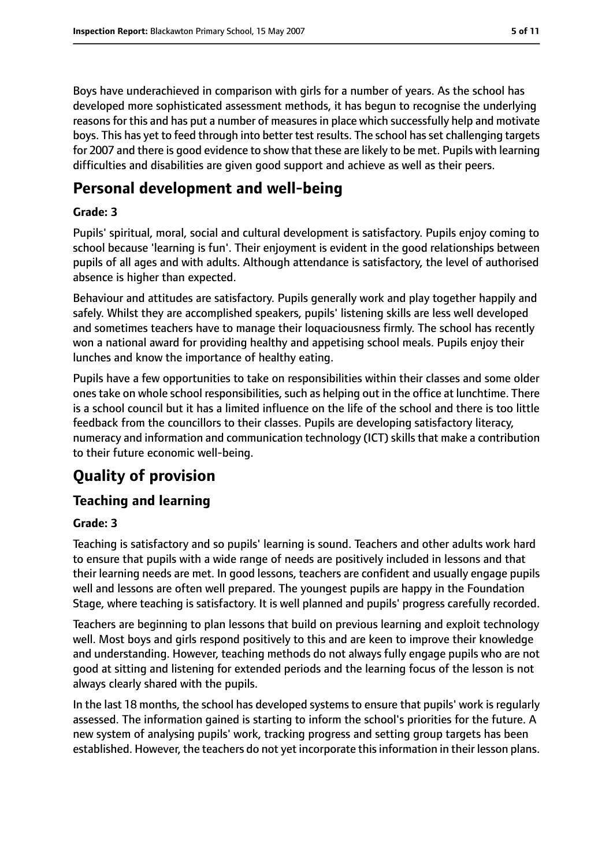Boys have underachieved in comparison with girls for a number of years. As the school has developed more sophisticated assessment methods, it has begun to recognise the underlying reasons for this and has put a number of measures in place which successfully help and motivate boys. This has yet to feed through into better test results. The school has set challenging targets for 2007 and there is good evidence to show that these are likely to be met. Pupils with learning difficulties and disabilities are given good support and achieve as well as their peers.

# **Personal development and well-being**

#### **Grade: 3**

Pupils' spiritual, moral, social and cultural development is satisfactory. Pupils enjoy coming to school because 'learning is fun'. Their enjoyment is evident in the good relationships between pupils of all ages and with adults. Although attendance is satisfactory, the level of authorised absence is higher than expected.

Behaviour and attitudes are satisfactory. Pupils generally work and play together happily and safely. Whilst they are accomplished speakers, pupils' listening skills are less well developed and sometimes teachers have to manage their loquaciousness firmly. The school has recently won a national award for providing healthy and appetising school meals. Pupils enjoy their lunches and know the importance of healthy eating.

Pupils have a few opportunities to take on responsibilities within their classes and some older ones take on whole school responsibilities, such as helping out in the office at lunchtime. There is a school council but it has a limited influence on the life of the school and there is too little feedback from the councillors to their classes. Pupils are developing satisfactory literacy, numeracy and information and communication technology (ICT) skills that make a contribution to their future economic well-being.

# **Quality of provision**

## **Teaching and learning**

#### **Grade: 3**

Teaching is satisfactory and so pupils' learning is sound. Teachers and other adults work hard to ensure that pupils with a wide range of needs are positively included in lessons and that their learning needs are met. In good lessons, teachers are confident and usually engage pupils well and lessons are often well prepared. The youngest pupils are happy in the Foundation Stage, where teaching is satisfactory. It is well planned and pupils' progress carefully recorded.

Teachers are beginning to plan lessons that build on previous learning and exploit technology well. Most boys and girls respond positively to this and are keen to improve their knowledge and understanding. However, teaching methods do not always fully engage pupils who are not good at sitting and listening for extended periods and the learning focus of the lesson is not always clearly shared with the pupils.

In the last 18 months, the school has developed systems to ensure that pupils' work is regularly assessed. The information gained is starting to inform the school's priorities for the future. A new system of analysing pupils' work, tracking progress and setting group targets has been established. However, the teachers do not yet incorporate thisinformation in their lesson plans.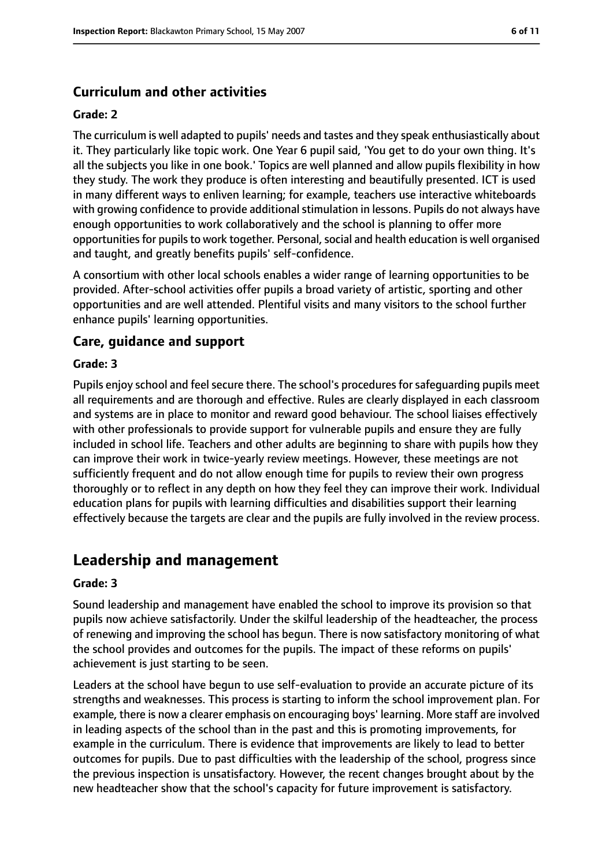## **Curriculum and other activities**

#### **Grade: 2**

The curriculum is well adapted to pupils' needs and tastes and they speak enthusiastically about it. They particularly like topic work. One Year 6 pupil said, 'You get to do your own thing. It's all the subjects you like in one book.' Topics are well planned and allow pupils flexibility in how they study. The work they produce is often interesting and beautifully presented. ICT is used in many different ways to enliven learning; for example, teachers use interactive whiteboards with growing confidence to provide additional stimulation in lessons. Pupils do not always have enough opportunities to work collaboratively and the school is planning to offer more opportunities for pupils to work together. Personal, social and health education is well organised and taught, and greatly benefits pupils' self-confidence.

A consortium with other local schools enables a wider range of learning opportunities to be provided. After-school activities offer pupils a broad variety of artistic, sporting and other opportunities and are well attended. Plentiful visits and many visitors to the school further enhance pupils' learning opportunities.

#### **Care, guidance and support**

#### **Grade: 3**

Pupils enjoy school and feel secure there. The school's procedures for safeguarding pupils meet all requirements and are thorough and effective. Rules are clearly displayed in each classroom and systems are in place to monitor and reward good behaviour. The school liaises effectively with other professionals to provide support for vulnerable pupils and ensure they are fully included in school life. Teachers and other adults are beginning to share with pupils how they can improve their work in twice-yearly review meetings. However, these meetings are not sufficiently frequent and do not allow enough time for pupils to review their own progress thoroughly or to reflect in any depth on how they feel they can improve their work. Individual education plans for pupils with learning difficulties and disabilities support their learning effectively because the targets are clear and the pupils are fully involved in the review process.

## **Leadership and management**

#### **Grade: 3**

Sound leadership and management have enabled the school to improve its provision so that pupils now achieve satisfactorily. Under the skilful leadership of the headteacher, the process of renewing and improving the school has begun. There is now satisfactory monitoring of what the school provides and outcomes for the pupils. The impact of these reforms on pupils' achievement is just starting to be seen.

Leaders at the school have begun to use self-evaluation to provide an accurate picture of its strengths and weaknesses. This process is starting to inform the school improvement plan. For example, there is now a clearer emphasis on encouraging boys' learning. More staff are involved in leading aspects of the school than in the past and this is promoting improvements, for example in the curriculum. There is evidence that improvements are likely to lead to better outcomes for pupils. Due to past difficulties with the leadership of the school, progress since the previous inspection is unsatisfactory. However, the recent changes brought about by the new headteacher show that the school's capacity for future improvement is satisfactory.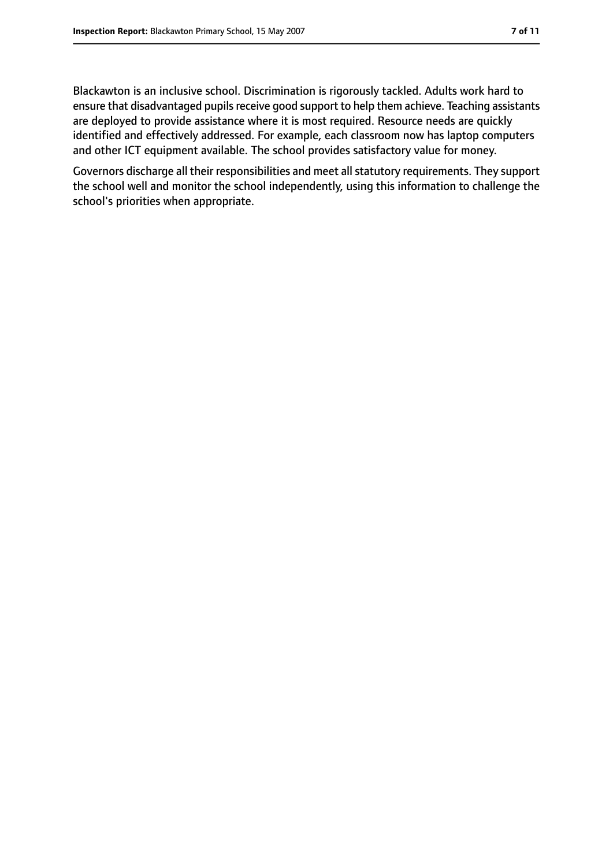Blackawton is an inclusive school. Discrimination is rigorously tackled. Adults work hard to ensure that disadvantaged pupils receive good support to help them achieve. Teaching assistants are deployed to provide assistance where it is most required. Resource needs are quickly identified and effectively addressed. For example, each classroom now has laptop computers and other ICT equipment available. The school provides satisfactory value for money.

Governors discharge all their responsibilities and meet all statutory requirements. They support the school well and monitor the school independently, using this information to challenge the school's priorities when appropriate.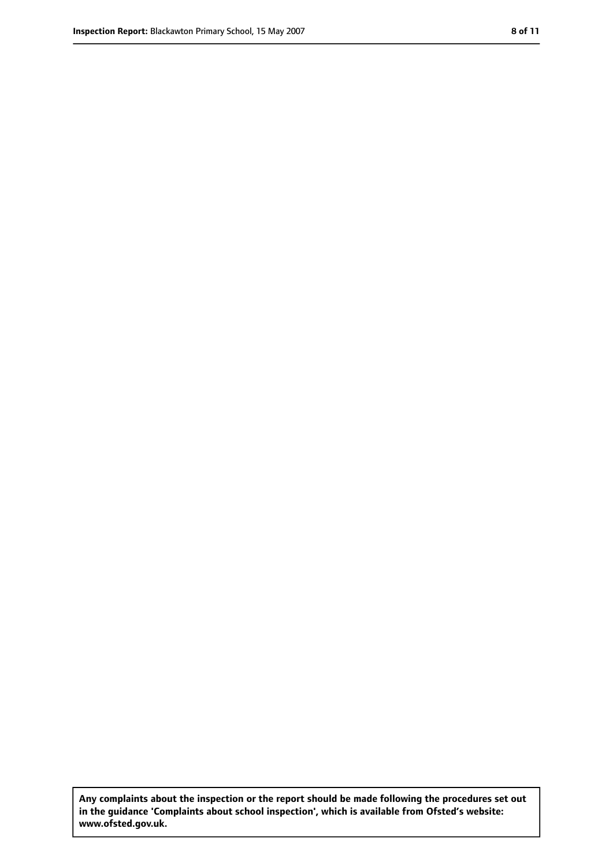**Any complaints about the inspection or the report should be made following the procedures set out in the guidance 'Complaints about school inspection', which is available from Ofsted's website: www.ofsted.gov.uk.**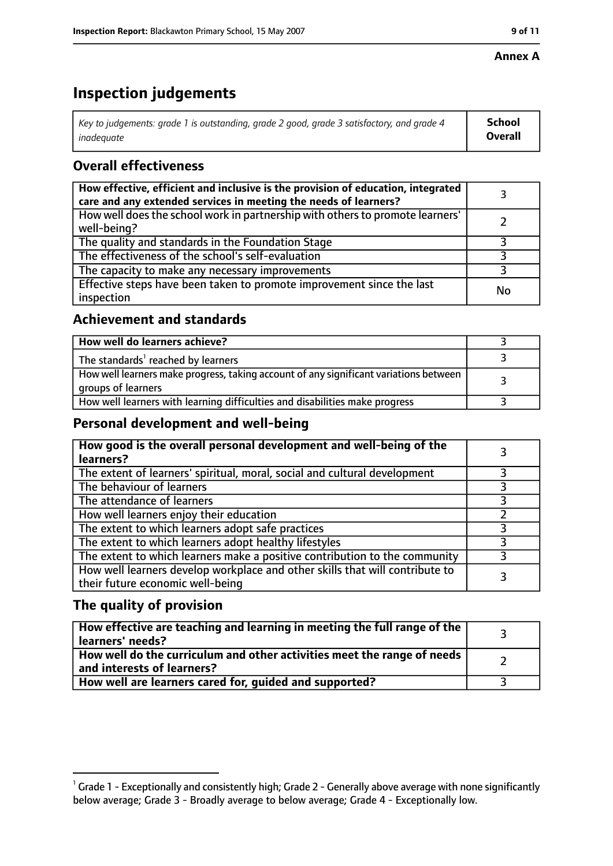#### **Annex A**

# **Inspection judgements**

| Key to judgements: grade 1 is outstanding, grade 2 good, grade 3 satisfactory, and grade 4 | <b>School</b>  |
|--------------------------------------------------------------------------------------------|----------------|
| inadeauate                                                                                 | <b>Overall</b> |

## **Overall effectiveness**

| How effective, efficient and inclusive is the provision of education, integrated<br>care and any extended services in meeting the needs of learners? |    |
|------------------------------------------------------------------------------------------------------------------------------------------------------|----|
| How well does the school work in partnership with others to promote learners'<br>well-being?                                                         |    |
| The quality and standards in the Foundation Stage                                                                                                    |    |
| The effectiveness of the school's self-evaluation                                                                                                    |    |
| The capacity to make any necessary improvements                                                                                                      |    |
| Effective steps have been taken to promote improvement since the last<br>inspection                                                                  | No |

## **Achievement and standards**

| How well do learners achieve?                                                                               |  |
|-------------------------------------------------------------------------------------------------------------|--|
| The standards <sup>1</sup> reached by learners                                                              |  |
| How well learners make progress, taking account of any significant variations between<br>groups of learners |  |
| How well learners with learning difficulties and disabilities make progress                                 |  |

## **Personal development and well-being**

| How good is the overall personal development and well-being of the<br>learners?                                  |  |
|------------------------------------------------------------------------------------------------------------------|--|
| The extent of learners' spiritual, moral, social and cultural development                                        |  |
| The behaviour of learners                                                                                        |  |
| The attendance of learners                                                                                       |  |
| How well learners enjoy their education                                                                          |  |
| The extent to which learners adopt safe practices                                                                |  |
| The extent to which learners adopt healthy lifestyles                                                            |  |
| The extent to which learners make a positive contribution to the community                                       |  |
| How well learners develop workplace and other skills that will contribute to<br>their future economic well-being |  |

## **The quality of provision**

| How effective are teaching and learning in meeting the full range of the<br>learners' needs?          |  |
|-------------------------------------------------------------------------------------------------------|--|
| How well do the curriculum and other activities meet the range of needs<br>and interests of learners? |  |
| How well are learners cared for, guided and supported?                                                |  |

 $^1$  Grade 1 - Exceptionally and consistently high; Grade 2 - Generally above average with none significantly below average; Grade 3 - Broadly average to below average; Grade 4 - Exceptionally low.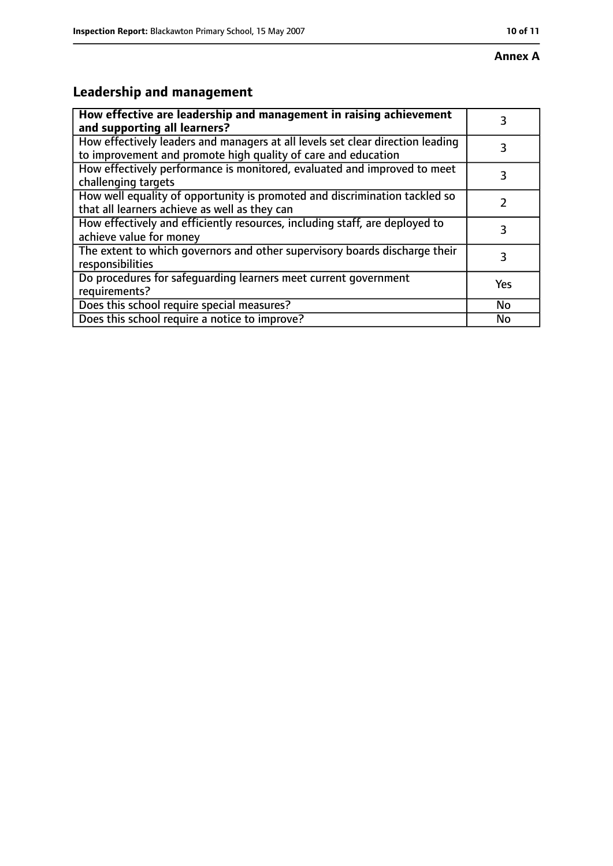#### **Annex A**

# **Leadership and management**

| How effective are leadership and management in raising achievement             | 3   |
|--------------------------------------------------------------------------------|-----|
| and supporting all learners?                                                   |     |
| How effectively leaders and managers at all levels set clear direction leading |     |
| to improvement and promote high quality of care and education                  |     |
| How effectively performance is monitored, evaluated and improved to meet       | 3   |
| challenging targets                                                            |     |
| How well equality of opportunity is promoted and discrimination tackled so     |     |
| that all learners achieve as well as they can                                  |     |
| How effectively and efficiently resources, including staff, are deployed to    | 3   |
| achieve value for money                                                        |     |
| The extent to which governors and other supervisory boards discharge their     | 3   |
| responsibilities                                                               |     |
| Do procedures for safequarding learners meet current government                | Yes |
| requirements?                                                                  |     |
| Does this school require special measures?                                     | No  |
| Does this school require a notice to improve?                                  | No  |